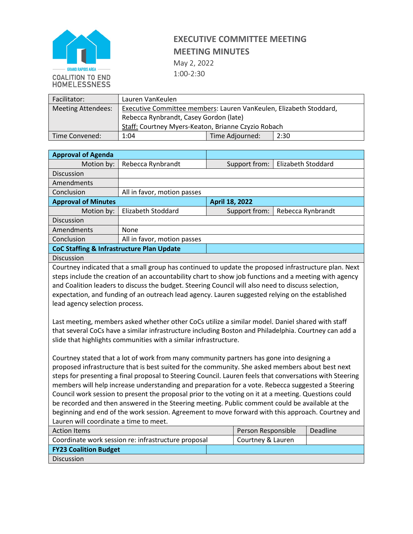

## **EXECUTIVE COMMITTEE MEETING MEETING MINUTES** May 2, 2022

1:00-2:30

| Facilitator:              | Lauren VanKeulen                                                   |                 |      |  |  |
|---------------------------|--------------------------------------------------------------------|-----------------|------|--|--|
| <b>Meeting Attendees:</b> | Executive Committee members: Lauren VanKeulen, Elizabeth Stoddard, |                 |      |  |  |
|                           | Rebecca Rynbrandt, Casey Gordon (late)                             |                 |      |  |  |
|                           | Staff: Courtney Myers-Keaton, Brianne Czyzio Robach                |                 |      |  |  |
| Time Convened:            | 1:04                                                               | Time Adjourned: | 2:30 |  |  |

| <b>Approval of Agenda</b>                                                                                                                                                                                                                                                                                                                                                                                                                                                                                                                                                                                                                                                                                                                                                                                                                                                                                                                                                                                                                                                                                                                                                                                                                                                                                                                                                                                                                                                                                              |                                                     |                |                    |                    |                   |  |
|------------------------------------------------------------------------------------------------------------------------------------------------------------------------------------------------------------------------------------------------------------------------------------------------------------------------------------------------------------------------------------------------------------------------------------------------------------------------------------------------------------------------------------------------------------------------------------------------------------------------------------------------------------------------------------------------------------------------------------------------------------------------------------------------------------------------------------------------------------------------------------------------------------------------------------------------------------------------------------------------------------------------------------------------------------------------------------------------------------------------------------------------------------------------------------------------------------------------------------------------------------------------------------------------------------------------------------------------------------------------------------------------------------------------------------------------------------------------------------------------------------------------|-----------------------------------------------------|----------------|--------------------|--------------------|-------------------|--|
| Motion by:                                                                                                                                                                                                                                                                                                                                                                                                                                                                                                                                                                                                                                                                                                                                                                                                                                                                                                                                                                                                                                                                                                                                                                                                                                                                                                                                                                                                                                                                                                             | Rebecca Rynbrandt                                   |                | Support from:      | Elizabeth Stoddard |                   |  |
| Discussion                                                                                                                                                                                                                                                                                                                                                                                                                                                                                                                                                                                                                                                                                                                                                                                                                                                                                                                                                                                                                                                                                                                                                                                                                                                                                                                                                                                                                                                                                                             |                                                     |                |                    |                    |                   |  |
| Amendments                                                                                                                                                                                                                                                                                                                                                                                                                                                                                                                                                                                                                                                                                                                                                                                                                                                                                                                                                                                                                                                                                                                                                                                                                                                                                                                                                                                                                                                                                                             |                                                     |                |                    |                    |                   |  |
| Conclusion                                                                                                                                                                                                                                                                                                                                                                                                                                                                                                                                                                                                                                                                                                                                                                                                                                                                                                                                                                                                                                                                                                                                                                                                                                                                                                                                                                                                                                                                                                             | All in favor, motion passes                         |                |                    |                    |                   |  |
| <b>Approval of Minutes</b>                                                                                                                                                                                                                                                                                                                                                                                                                                                                                                                                                                                                                                                                                                                                                                                                                                                                                                                                                                                                                                                                                                                                                                                                                                                                                                                                                                                                                                                                                             |                                                     | April 18, 2022 |                    |                    |                   |  |
| Motion by:                                                                                                                                                                                                                                                                                                                                                                                                                                                                                                                                                                                                                                                                                                                                                                                                                                                                                                                                                                                                                                                                                                                                                                                                                                                                                                                                                                                                                                                                                                             | <b>Elizabeth Stoddard</b>                           |                | Support from:      |                    | Rebecca Rynbrandt |  |
| <b>Discussion</b>                                                                                                                                                                                                                                                                                                                                                                                                                                                                                                                                                                                                                                                                                                                                                                                                                                                                                                                                                                                                                                                                                                                                                                                                                                                                                                                                                                                                                                                                                                      |                                                     |                |                    |                    |                   |  |
| Amendments                                                                                                                                                                                                                                                                                                                                                                                                                                                                                                                                                                                                                                                                                                                                                                                                                                                                                                                                                                                                                                                                                                                                                                                                                                                                                                                                                                                                                                                                                                             | None                                                |                |                    |                    |                   |  |
| Conclusion                                                                                                                                                                                                                                                                                                                                                                                                                                                                                                                                                                                                                                                                                                                                                                                                                                                                                                                                                                                                                                                                                                                                                                                                                                                                                                                                                                                                                                                                                                             | All in favor, motion passes                         |                |                    |                    |                   |  |
| <b>CoC Staffing &amp; Infrastructure Plan Update</b>                                                                                                                                                                                                                                                                                                                                                                                                                                                                                                                                                                                                                                                                                                                                                                                                                                                                                                                                                                                                                                                                                                                                                                                                                                                                                                                                                                                                                                                                   |                                                     |                |                    |                    |                   |  |
| Discussion                                                                                                                                                                                                                                                                                                                                                                                                                                                                                                                                                                                                                                                                                                                                                                                                                                                                                                                                                                                                                                                                                                                                                                                                                                                                                                                                                                                                                                                                                                             |                                                     |                |                    |                    |                   |  |
| Courtney indicated that a small group has continued to update the proposed infrastructure plan. Next<br>steps include the creation of an accountability chart to show job functions and a meeting with agency<br>and Coalition leaders to discuss the budget. Steering Council will also need to discuss selection,<br>expectation, and funding of an outreach lead agency. Lauren suggested relying on the established<br>lead agency selection process.<br>Last meeting, members asked whether other CoCs utilize a similar model. Daniel shared with staff<br>that several CoCs have a similar infrastructure including Boston and Philadelphia. Courtney can add a<br>slide that highlights communities with a similar infrastructure.<br>Courtney stated that a lot of work from many community partners has gone into designing a<br>proposed infrastructure that is best suited for the community. She asked members about best next<br>steps for presenting a final proposal to Steering Council. Lauren feels that conversations with Steering<br>members will help increase understanding and preparation for a vote. Rebecca suggested a Steering<br>Council work session to present the proposal prior to the voting on it at a meeting. Questions could<br>be recorded and then answered in the Steering meeting. Public comment could be available at the<br>beginning and end of the work session. Agreement to move forward with this approach. Courtney and<br>Lauren will coordinate a time to meet. |                                                     |                |                    |                    |                   |  |
| <b>Action Items</b>                                                                                                                                                                                                                                                                                                                                                                                                                                                                                                                                                                                                                                                                                                                                                                                                                                                                                                                                                                                                                                                                                                                                                                                                                                                                                                                                                                                                                                                                                                    |                                                     |                | Person Responsible |                    | Deadline          |  |
|                                                                                                                                                                                                                                                                                                                                                                                                                                                                                                                                                                                                                                                                                                                                                                                                                                                                                                                                                                                                                                                                                                                                                                                                                                                                                                                                                                                                                                                                                                                        | Coordinate work session re: infrastructure proposal |                | Courtney & Lauren  |                    |                   |  |
| <b>FY23 Coalition Budget</b>                                                                                                                                                                                                                                                                                                                                                                                                                                                                                                                                                                                                                                                                                                                                                                                                                                                                                                                                                                                                                                                                                                                                                                                                                                                                                                                                                                                                                                                                                           |                                                     |                |                    |                    |                   |  |
| <b>Discussion</b>                                                                                                                                                                                                                                                                                                                                                                                                                                                                                                                                                                                                                                                                                                                                                                                                                                                                                                                                                                                                                                                                                                                                                                                                                                                                                                                                                                                                                                                                                                      |                                                     |                |                    |                    |                   |  |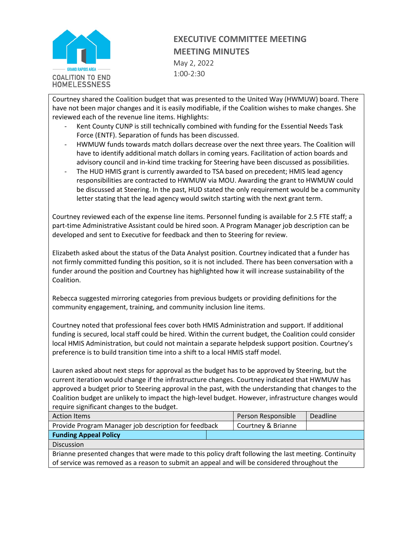

## **EXECUTIVE COMMITTEE MEETING MEETING MINUTES** May 2, 2022 1:00-2:30

Courtney shared the Coalition budget that was presented to the United Way (HWMUW) board. There have not been major changes and it is easily modifiable, if the Coalition wishes to make changes. She reviewed each of the revenue line items. Highlights:

- Kent County CUNP is still technically combined with funding for the Essential Needs Task Force (ENTF). Separation of funds has been discussed.
- HWMUW funds towards match dollars decrease over the next three years. The Coalition will have to identify additional match dollars in coming years. Facilitation of action boards and advisory council and in-kind time tracking for Steering have been discussed as possibilities.
- The HUD HMIS grant is currently awarded to TSA based on precedent; HMIS lead agency responsibilities are contracted to HWMUW via MOU. Awarding the grant to HWMUW could be discussed at Steering. In the past, HUD stated the only requirement would be a community letter stating that the lead agency would switch starting with the next grant term.

Courtney reviewed each of the expense line items. Personnel funding is available for 2.5 FTE staff; a part-time Administrative Assistant could be hired soon. A Program Manager job description can be developed and sent to Executive for feedback and then to Steering for review.

Elizabeth asked about the status of the Data Analyst position. Courtney indicated that a funder has not firmly committed funding this position, so it is not included. There has been conversation with a funder around the position and Courtney has highlighted how it will increase sustainability of the Coalition.

Rebecca suggested mirroring categories from previous budgets or providing definitions for the community engagement, training, and community inclusion line items.

Courtney noted that professional fees cover both HMIS Administration and support. If additional funding is secured, local staff could be hired. Within the current budget, the Coalition could consider local HMIS Administration, but could not maintain a separate helpdesk support position. Courtney's preference is to build transition time into a shift to a local HMIS staff model.

Lauren asked about next steps for approval as the budget has to be approved by Steering, but the current iteration would change if the infrastructure changes. Courtney indicated that HWMUW has approved a budget prior to Steering approval in the past, with the understanding that changes to the Coalition budget are unlikely to impact the high-level budget. However, infrastructure changes would require significant changes to the budget.

| <b>Action Items</b>                                                                                  | Person Responsible | <b>Deadline</b> |  |  |  |
|------------------------------------------------------------------------------------------------------|--------------------|-----------------|--|--|--|
| Provide Program Manager job description for feedback                                                 | Courtney & Brianne |                 |  |  |  |
| <b>Funding Appeal Policy</b>                                                                         |                    |                 |  |  |  |
| <b>Discussion</b>                                                                                    |                    |                 |  |  |  |
| Brianne presented changes that were made to this policy draft following the last meeting. Continuity |                    |                 |  |  |  |
| of service was removed as a reason to submit an appeal and will be considered throughout the         |                    |                 |  |  |  |